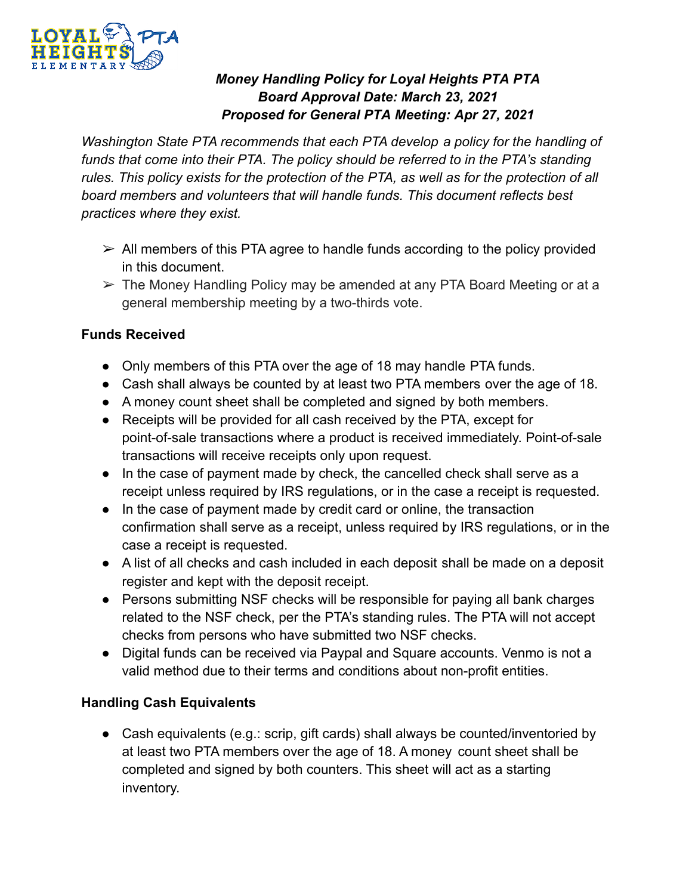

# *Money Handling Policy for Loyal Heights PTA PTA Board Approval Date: March 23, 2021 Proposed for General PTA Meeting: Apr 27, 2021*

*Washington State PTA recommends that each PTA develop a policy for the handling of funds that come into their PTA. The policy should be referred to in the PTA's standing rules. This policy exists for the protection of the PTA, as well as for the protection of all board members and volunteers that will handle funds. This document reflects best practices where they exist.*

- $\triangleright$  All members of this PTA agree to handle funds according to the policy provided in this document.
- $\triangleright$  The Money Handling Policy may be amended at any PTA Board Meeting or at a general membership meeting by a two-thirds vote.

### **Funds Received**

- Only members of this PTA over the age of 18 may handle PTA funds.
- Cash shall always be counted by at least two PTA members over the age of 18.
- A money count sheet shall be completed and signed by both members.
- Receipts will be provided for all cash received by the PTA, except for point-of-sale transactions where a product is received immediately. Point-of-sale transactions will receive receipts only upon request.
- In the case of payment made by check, the cancelled check shall serve as a receipt unless required by IRS regulations, or in the case a receipt is requested.
- In the case of payment made by credit card or online, the transaction confirmation shall serve as a receipt, unless required by IRS regulations, or in the case a receipt is requested.
- A list of all checks and cash included in each deposit shall be made on a deposit register and kept with the deposit receipt.
- Persons submitting NSF checks will be responsible for paying all bank charges related to the NSF check, per the PTA's standing rules. The PTA will not accept checks from persons who have submitted two NSF checks.
- Digital funds can be received via Paypal and Square accounts. Venmo is not a valid method due to their terms and conditions about non-profit entities.

# **Handling Cash Equivalents**

● Cash equivalents (e.g.: scrip, gift cards) shall always be counted/inventoried by at least two PTA members over the age of 18. A money count sheet shall be completed and signed by both counters. This sheet will act as a starting inventory.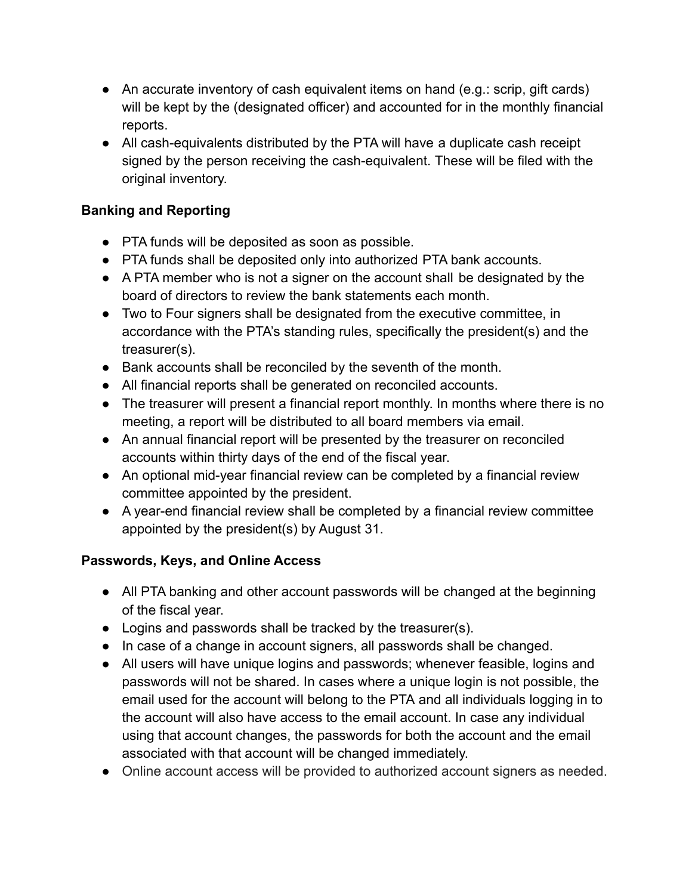- An accurate inventory of cash equivalent items on hand (e.g.: scrip, gift cards) will be kept by the (designated officer) and accounted for in the monthly financial reports.
- All cash-equivalents distributed by the PTA will have a duplicate cash receipt signed by the person receiving the cash-equivalent. These will be filed with the original inventory.

## **Banking and Reporting**

- PTA funds will be deposited as soon as possible.
- PTA funds shall be deposited only into authorized PTA bank accounts.
- A PTA member who is not a signer on the account shall be designated by the board of directors to review the bank statements each month.
- Two to Four signers shall be designated from the executive committee, in accordance with the PTA's standing rules, specifically the president(s) and the treasurer(s).
- Bank accounts shall be reconciled by the seventh of the month.
- All financial reports shall be generated on reconciled accounts.
- The treasurer will present a financial report monthly. In months where there is no meeting, a report will be distributed to all board members via email.
- An annual financial report will be presented by the treasurer on reconciled accounts within thirty days of the end of the fiscal year.
- An optional mid-year financial review can be completed by a financial review committee appointed by the president.
- A year-end financial review shall be completed by a financial review committee appointed by the president(s) by August 31.

# **Passwords, Keys, and Online Access**

- All PTA banking and other account passwords will be changed at the beginning of the fiscal year.
- Logins and passwords shall be tracked by the treasurer(s).
- In case of a change in account signers, all passwords shall be changed.
- All users will have unique logins and passwords; whenever feasible, logins and passwords will not be shared. In cases where a unique login is not possible, the email used for the account will belong to the PTA and all individuals logging in to the account will also have access to the email account. In case any individual using that account changes, the passwords for both the account and the email associated with that account will be changed immediately.
- Online account access will be provided to authorized account signers as needed.